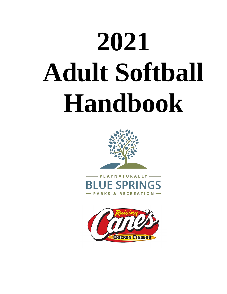# **2021 Adult Softball Handbook**



**YNATURALLY SPRINGS PARKS & RECREATION-**

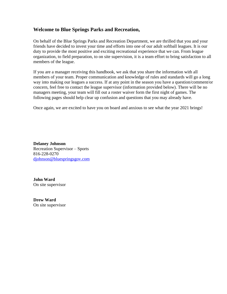#### **Welcome to Blue Springs Parks and Recreation,**

On behalf of the Blue Springs Parks and Recreation Department, we are thrilled that you and your friends have decided to invest your time and efforts into one of our adult softball leagues. It is our duty to provide the most positive and exciting recreational experience that we can. From league organization, to field preparation, to on site supervision, it is a team effort to bring satisfaction to all members of the league.

If you are a manager receiving this handbook, we ask that you share the information with all members of your team. Proper communication and knowledge of rules and standards will go a long way into making our leagues a success. If at any point in the season you have a question/comment/or concern, feel free to contact the league supervisor (information provided below). There will be no managers meeting, your team will fill out a roster waiver form the first night of games. The following pages should help clear up confusion and questions that you may already have.

Once again, we are excited to have you on board and anxious to see what the year 2021 brings!

**Delaney Johnson** Recreation Supervisor – Sports 816-228-0270 [djohnson@bluespringsgov.com](mailto:djohnson@bluespringsgov.com)

**John Ward** On site supervisor

**Drew Ward** On site supervisor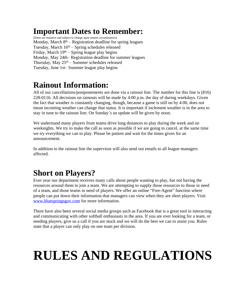## **Important Dates to Remember:**

(Dates are tentative and subject to change upon unseen circumstances) Monday, March 8<sup>th</sup> – Registration deadline for spring leagues Tuesday, March 16<sup>th</sup> – Spring schedules released Friday, March 19<sup>th</sup> – Spring league play begins Monday, May 24th– Registration deadline for summer leagues Thursday, May  $25<sup>th</sup>$  – Summer schedules released Tuesday, June 1st– Summer league play begins

# **Rainout Information:**

All of our cancellations/postponements are done via a rainout line. The number for this line is (816) 228-0116. All decisions on rainouts will be made by 4:00 p.m. the day of during weekdays. Given the fact that weather is constantly changing, though, because a game is still on by 4:00, does not mean incoming weather can change that status. It is important if inclement weather is in the area to stay in tune to the rainout line. On Sunday's an update will be given by noon.

We understand many players from teams drive long distances to play during the week and on weeknights. We try to make the call as soon as possible if we are going to cancel, at the same time we try everything we can to play. Please be patient and wait for the times given for an announcement.

In addition to the rainout line the supervisor will also send out emails to all league managers affected.

# **Short on Players?**

Ever year our department receives many calls about people wanting to play, but not having the resources around them to join a team. We are attempting to supply those resources to those in need of a team, and those teams in need of players. We offer an online "Free-Agent" function where people can put down their information that managers can view when they are short players. Visit [www.bluespringsgov.com for more information.](http://www.bluespringsgov.com)

[There have also been several social media groups such as Facebook that is a great tool in interacting](http://www.bluespringsgov.com)  [and communicating with other softball enthusiasts in the area.](http://www.bluespringsgov.com) [If you are ever looking for a team, or](http://www.bluespringsgov.com)  [needing players, give us a call if you are stuck and we will do the best we can to assist you. Rules](http://www.bluespringsgov.com)  [state that a player can only play on one team per division.](http://www.bluespringsgov.com)

# **[RULES AND REGULATIONS](http://www.bluespringsgov.com)**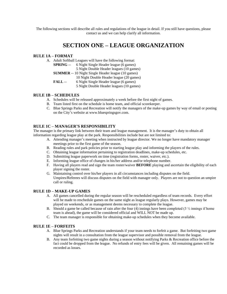The following sections will describe all rules and regulations of the league in detail. If you still have questions, please contact us and we can help clarify all information.

#### **SECTION ONE – LEAGUE ORGANIZATION**

#### **RULE 1A – FORMAT**

| A. | Adult Softball Leagues will have the following format: |                                                           |
|----|--------------------------------------------------------|-----------------------------------------------------------|
|    | <b>SPRING</b> --                                       | 6 Night Single Header league (6 games)                    |
|    |                                                        | 5 Night Double Header leagues (10 games)                  |
|    |                                                        | <b>SUMMER</b> -- 10 Night Single Header league (10 games) |
|    |                                                        | 10 Night Double Header league (20 games)                  |
|    | <b>FALL</b> --                                         | 6 Night Single Header league (6 games)                    |
|    |                                                        | 5 Night Double Header leagues (10 games)                  |

#### **RULE 1B – SCHEDULES**

- A. Schedules will be released approximately a week before the first night of games.
- B. Team listed first on the schedule is home team, and official scorekeeper.
- C. Blue Springs Parks and Recreation will notify the managers of the make-up games by way of email or posting on the City's website at www.bluespringsgov.com.

#### **RULE 1C – MANAGER'S RESPONSIBILITY**

The manager is the primary link between their team and league management. It is the manager's duty to obtain all information regarding league play at the park. Responsibilities include but are not limited to:

- A. Attending manager's meeting when instructed by league director. We no longer have mandatory manager meetings prior to the first game of the season.
- B. Reading rules and park policies prior to starting league play and informing the players of the rules.
- C. Obtaining league information pertaining to registration deadlines, make-up schedules, etc.
- D. Submitting league paperwork on time (registration forms, roster, waiver, etc.).
- E. Informing league office of changes in his/her address and/or telephone number.
- F. Having all players read and sign the team roster/waiver **BEFORE** playing and ascertain the eligibility of each player signing the roster.
- G. Maintaining control over his/her players in all circumstances including disputes on the field. Umpires/Referees will discuss disputes on the field with manager only. Players are not to question an umpire call or ruling.

#### **RULE 1D – MAKE-UP GAMES**

- A. All games cancelled during the regular season will be rescheduled regardless of team records. Every effort will be made to reschedule games on the same night as league regularly plays. However, games may be played on weekends, or as management deems necessary to complete the league.
- B. Should a game be called because of rain after the four (4) innings have been completed (3  $\frac{1}{2}$  innings if home team is ahead), the game will be considered official and WILL NOT be made up.
- C. The team manager is responsible for obtaining make-up schedules when they become available.

#### **RULE 1E – FORFEITS**

- A. Blue Springs Parks and Recreation understands if your team needs to forfeit a game. But forfeiting two game nights will result in a consultation from the league supervisor and possible removal from the league.
- B. Any team forfeiting two game nights during a season without notifying Parks & Recreation office before the fact could be dropped from the league. No refunds of entry fees will be given. All remaining games will be recorded as losses.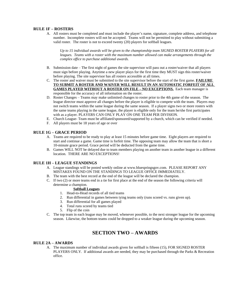#### **RULE 1F – ROSTERS**

A. All rosters must be completed and must include the player's name, signature, complete address, and telephone number. Incomplete rosters will not be accepted. Teams will not be permitted to play without submitting a valid roster. The roster is not to exceed twenty (20) players for softball leagues.

*Up to 15 individual awards will be given to the championship team SIGNED ROSTER PLAYERS for all leagues. Teams with a roster with the maximum number allowed can make arrangements through the complex office to purchase additional awards.*

- B. Submission date The first night of games the site supervisor will pass out a roster/waiver that all players must sign before playing. Anytime a new player plays for the first time they MUST sign this roster/waiver before playing. The site supervisor has all rosters accessible at all times.
- C. The roster and waiver must be submitted to the site supervisor before the start of the first game. **FAILURE TO SUBMIT A ROSTER AND WAIVER WILL RESULT IN AN AUTOMATIC FORFEIT OF ALL GAMES PLAYED WITHOUT A ROSTER ON FILE – NO EXCEPTIONS.** Each team manager is responsible for the accuracy of all information on the roster.
- D. Roster Changes Teams may make unlimited changes to roster prior to the 4th game of the season. The league director must approve all changes before the player is eligible to compete with the team. Players may not switch teams within the same league during the same season. If a player signs two or more rosters with the same teams playing in the same league, the player is eligible only for the team he/she first participates with as a player. PLAYERS CAN ONLY PLAY ON ONE TEAM PER DIVISION.
- E. Church League- Team must be affiliated/sponsored/supported by a church, which can be verified if needed.
- F. All players must be 18 years of age or over

#### **RULE 1G – GRACE PERIOD**

- A. Teams are required to be ready to play at least 15 minutes before game time. Eight players are required to start and continue a game. Game time is forfeit time. The opposing team may allow the team that is short a 10-minute grace period. Grace period will be deducted from the game time.
- B. Games WILL NOT be delayed due to team members playing on another team in another league in a different location. THERE ARE NO EXCEPTIONS!

#### **RULE 1H – LEAGUE STANDINGS**

- A. League standings will be posted weekly online at www.bluespringsgov.com. PLEASE REPORT ANY MISTAKES FOUND ON THE STANDINGS TO LEAGUE OFFICE IMMEDIATELY.
- B. The team with the best record at the end of the league will be declared the champion.
- C. If two (2) or more teams end in a tie for first place at the end of the season the following criteria will determine a champion.

#### **Softball Leagues**

- 1. Head-to-Head records of all tied teams
- 2. Run differential in games between tying teams only (runs scored vs. runs given up).
- 3. Run differential for all games played
- 4. Total runs scored by teams tied
- 5. Flip of the coin
- C. The top team in each league may be moved, whenever possible, to the next stronger league for the upcoming season. Likewise, the bottom teams could be dropped to a weaker league during the upcoming season.

#### **SECTION TWO – AWARDS**

#### **RULE 2A – AWARDS**

A. The maximum number of individual awards given for softball is fifteen (15), FOR SIGNED ROSTER PLAYERS ONLY. If additional awards are needed, they may be purchased through the Parks & Recreation office.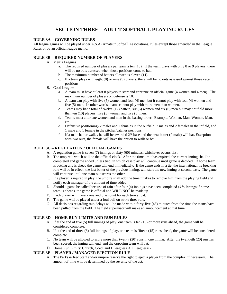#### **SECTION THREE – ADULT SOFTBALL PLAYING RULES**

#### **RULE 3A – GOVERNING RULES**

All league games will be played under A.S.A (Amateur Softball Associations) rules except those amended in the League Rules or by an official league memo.

#### **RULE 3B – REQUIRED NUMBER OF PLAYERS**

- A. Men's Leagues
	- a. The required number of players per team is ten (10). If the team plays with only 8 or 9 players, there will be no outs assessed when those positions come to bat.
	- b. The maximum number of batters allowed is eleven (11)
	- c. If a team plays with eight (8) or nine (9) players, there will be no outs assessed against those vacant positions.
- B. Coed Leagues:
	- a. A team must have at least 8 players to start and continue an official game (4 women and 4 men). The maximum number of players on defense is 10.
	- b. A team can play with five (5) women and four (4) men but it cannot play with four (4) women and five (5) men. In other words, teams cannot play with more men than women.
	- c. Teams may bat a total of twelve  $(12)$  batters, six  $(6)$  women and six  $(6)$  men but may not field more than ten  $(10)$  players, five  $(5)$  women and five  $(5)$  men.
	- d. Teams must alternate women and men in the batting order. Example: Woman, Man, Woman, Man, etc.
	- e. Defensive positioning- 2 males and 2 females in the outfield, 2 males and 2 females in the infield, and 1 male and 1 female in the pitcher/catcher positions
	- f. If a male batter walks, he will be awarded  $2<sup>nd</sup>$  base and the next batter (female) will bat. Exceptionwith two outs, the female will have the option to walk or bat

#### **RULE 3C – REGULATION / OFFICIAL GAMES**

- A. A regulation game is seven (7) innings or sixty (60) minutes, whichever occurs first.
- B. The umpire's watch will be the official clock. After the time limit has expired, the current inning shall be completed and game ended unless tied, in which case play will continue until game is decided. If home team is batting and is ahead the game will end immediately. If the game ends in a tie, the international tie breaking rule will be in effect: the last batter of the previous inning, will start the new inning at second base. The game will continue until one team out scores the other.
- C. If a player is injured in play, the umpire shall add the time it takes to remove him from the playing field and notify each manager of the amount of time added.
- D. Should a game be called because of rain after four (4) innings have been completed (3  $\frac{1}{2}$  innings if home team is ahead), the game is official and WILL NOT be made up.
- E. Each player will have a one and one count for each turn at bat.
- F. The game will be played under a foul ball on strike three rule.
- G. All decisions regarding rain delays will be made within forty-five (45) minutes from the time the teams have been pulled from the field. The field supervisor will make an announcement at that time.

#### **RULE 3D – HOME RUN LIMITS AND RUN RULES**

- A. If at the end of five (5) full innings of play, one team is ten (10) or more runs ahead, the game will be considered complete.
- B. If at the end of three (3) full innings of play, one team is fifteen (15) runs ahead, the game will be considered complete.
- C. No team will be allowed to score more than twenty (20) runs in one inning. After the twentieth (20) run has been scored, the inning will end, and the opposing team will bat.
- D. Home Run Limits: Church, Coed, and D leagues= 4, E leagues= 2.

#### **RULE 3E – PLAYER / MANAGER EJECTION RULE**

A. The Parks & Rec Staff and/or umpire reserve the right to eject a player from the complex, if necessary. The amount of time will be determined by the severity of the act.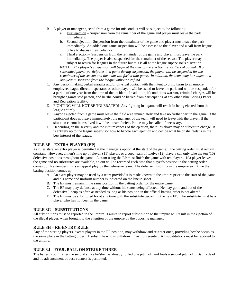- B. A player or manager ejected from a game for misconduct will be subject to the following:
	- a. First ejection Suspension from the remainder of the game and player must leave the park immediately.
	- b. Second ejection –Suspension from the remainder of the game and player must leave the park immediately. An added one game suspension will be assessed to the player and a call from league office to discuss their behavior.
	- c. Third ejection Suspension from the remainder of the game and player must leave the park immediately. The player is also suspended for the remainder of the season. The player may be subject to return for leagues in the future but this is all at the league supervisor's discretion.

**NOTE***: The player's suspension will begin at the time of the ejection, regardless of appeal. If a suspended player participates in a game during suspension, the player will be suspended for the remainder of the season and the team will forfeit that game. In addition, the team may be subject to a one-year suspension from the league without a refund.*

- C. Any person making verbal assaults and/or physical contact with the intent to bring harm to an umpire, employee, league director, spectator or other player, will be asked to leave the park and will be suspended for a period of one year from the time of the incident. In addition, if conditions warrant, criminal charges will be brought against said person, and he/she could be barred from participating at any other Blue Springs Parks and Recreation facility.
- D. FIGHTING WILL NOT BE TOLERATED! Any fighting in a game will result in being ejected from the league entirely.
- E. Anyone ejected from a game must leave the field area immediately and take no further part in the game. If the participant does not leave immediately, the manager of the team will need to leave with the player. If the situation cannot be resolved it will be a team forfeit. Police may be called if necessary.
- F. Depending on the severity and the circumstances of the ejection, the rules above may be subject to change. It is entirely up to the league supervisor how to handle each ejection and decide what he or she feels is in the best interest of the league.

#### **RULE 3F – EXTRA PLAYER (EP)**

As rules state, an extra player is permitted at the manager's option at the start of the game. The batting order must remain constant. However, a men's line up of eleven (11) players or a coed team of twelve (12) players can only take the ten (10) defensive positions throughout the game. A team using the EP must finish the game with ten players. If a player leaves the game and no substitutes are available, an out will be recorded each time that player's position in the batting order comes up. Remember this is an appeal play by the defensive team. The defense must inform the umpire each time the batting position comes up.

- A. An extra player may be used by a team provided it is made known to the umpire prior to the start of the game and his name and uniform number is indicated on the lineup sheet.
- B. The EP must remain in the same position in the batting order for the entire game.
- C. The EP may play defense at any time without his status being affected. He may go in and out of the defensive lineup as often as needed as long as his position in the official batting order is not altered.
- D. The EP may be substituted for at any time with the substitute becoming the new EP. The substitute must be a player who has not been in the game.

#### **RULE 3G – SUBSTITUTIONS**

All substitutions must be reported to the umpire. Failure to report substitution to the umpire will result in the ejection of the illegal player, when brought to the attention of the umpire by the opposing manager.

#### **RULE 3H – RE-ENTRY RULE**

Any of the starting players, except players in the EP position, may withdraw and re-enter once, providing he/she occupies the same place in the batting order. A substitute who is withdrawn may not re-enter. All substitutions must be reported to the umpire.

#### **RULE 3.I – FOUL BALL ON STRIKE THREE**

The batter is out if after the second strike he/she has already fouled one pitch off and fouls a second pitch off. Ball is dead and no advancement of base runners is permitted.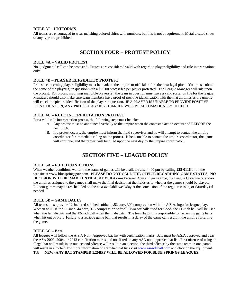#### **RULE 3J – UNIFORMS**

All teams are encouraged to wear matching colored shirts with numbers, but this is not a requirement. Metal cleated shoes of any type are prohibited.

#### **SECTION FOUR – PROTEST POLICY**

#### **RULE 4A – VALID PROTEST**

No "judgment" call can be protested. Protests are considered valid with regard to player eligibility and rule interpretations only.

#### **RULE 4B – PLAYER ELIGIBILITY PROTEST**

Protests concerning player eligibility must be made to the umpire or official before the next legal pitch. You must submit the name of the player(s) in question with a \$25.00 protest fee per player protested. The League Manager will rule upon the protest. For protest involving ineligible players(s), the team in question must have a valid roster on file for the league. Managers should also make sure team members have proof of positive identification with them at all times as the umpire will check the picture identification of the player in question. IF A PLAYER IS UNABLE TO PROVIDE POSITIVE IDENTIFICATION, ANY PROTEST AGAINST HIM/HER WILL BE AUTOMATICALLY UPHELD.

#### **RULE 4C – RULE INTERPRETATION PROTEST**

For a valid rule interpretation protest, the following steps must be taken:

- A. Any protest must be announced verbally to the umpire when the contested action occurs and BEFORE the next pitch.
- B. If a protest occurs, the umpire must inform the field supervisor and he will attempt to contact the umpire coordinator for immediate ruling on the protest. If he is unable to contact the umpire coordinator, the game will continue, and the protest will be ruled upon the next day by the umpire coordinator.

#### **SECTION FIVE – LEAGUE POLICY**

#### **RULE 5A – FIELD CONDITIONS**

When weather conditions warrant, the status of games will be available after 4:00 pm by calling 228-0116 or on the website at www.bluespringsgov.com. **PLEASE DO NOT CALL THE OFFICE REGARDING GAME STATUS. NO DECISION WILL BE MADE UNTIL 4:00 PM.** If it rains between 4pm and game time, the League Coordinator and/or the umpires assigned to the games shall make the final decision at the fields as to whether the games should be played. Rainout games may be rescheduled on the next available weekday at the conclusion of the regular season, or Saturdays if needed.

#### **RULE 5B – GAME BALLS**

All teams must provide 12-inch red-stitched softballs .52 core, 300 compression with the A.S.A. logo for league play. Women will use the 11-inch .44 core, 375 compression softball. Two softballs used for Coed- the 11-inch ball will be used when the female bats and the 12-inch ball when the male bats. The team batting is responsible for retrieving game balls when hit out of play. Failure to a retrieve game ball that results in a delay of the game can result in the umpire forfeiting the game.

#### **RULE 5C – Bats**

All leagues will follow the A.S.A Non- Approved bat list with certification marks. Bats must be A.S.A approved and bear the ASA 2000, 2004, or 2013 certification marks and not listed on any ASA non-approved bat list. First offense of using an illegal bat will result in an out, second offense will result in an ejection, the third offense by the same team in one game will result in a forfeit. For more information on Certified bat lists visit [www.asasoftball.com](http://www.asasoftball.com) and click on the Equipment Tab **NEW- ANY BAT STAMPED 1.20BPF WILL BE ALLOWED FOR BLUE SPRINGS LEAGUES**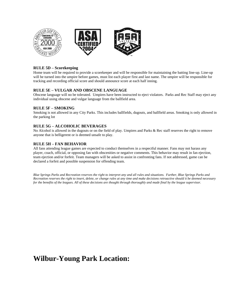

#### **RULE 5D – Scorekeeping**

Home team will be required to provide a scorekeeper and will be responsible for maintaining the batting line-up. Line-up will be turned into the umpire before games, must list each player first and last name. The umpire will be responsible for tracking and recording official score and should announce score at each half inning.

#### **RULE 5E – VULGAR AND OBSCENE LANGUAGE**

Obscene language will no be tolerated. Umpires have been instructed to eject violators. Parks and Rec Staff may eject any individual using obscene and vulgar language from the ballfield area.

#### **RULE 5F – SMOKING**

Smoking is not allowed in any City Parks. This includes ballfields, dugouts, and ballfield areas. Smoking is only allowed in the parking lot

#### **RULE 5G – ALCOHOLIC BEVERAGES**

No Alcohol is allowed in the dugouts or on the field of play. Umpires and Parks & Rec staff reserves the right to remove anyone that is belligerent or is deemed unsafe to play.

#### **RULE 5H – FAN BEHAVIOR**

All fans attending league games are expected to conduct themselves in a respectful manner. Fans may not harass any player, coach, official, or opposing fan with obscenities or negative comments. This behavior may result in fan ejection, team ejection and/or forfeit. Team managers will be asked to assist in confronting fans. If not addressed, game can be declared a forfeit and possible suspension for offending team.

*Blue Springs Parks and Recreation reserves the right to interpret any and all rules and situations. Further, Blue Springs Parks and Recreation reserves the right to insert, delete, or change rules at any time and make decisions retroactive should it be deemed necessary for the benefits of the leagues. All of these decisions are thought through thoroughly and made final by the league supervisor.*

### **Wilbur-Young Park Location:**